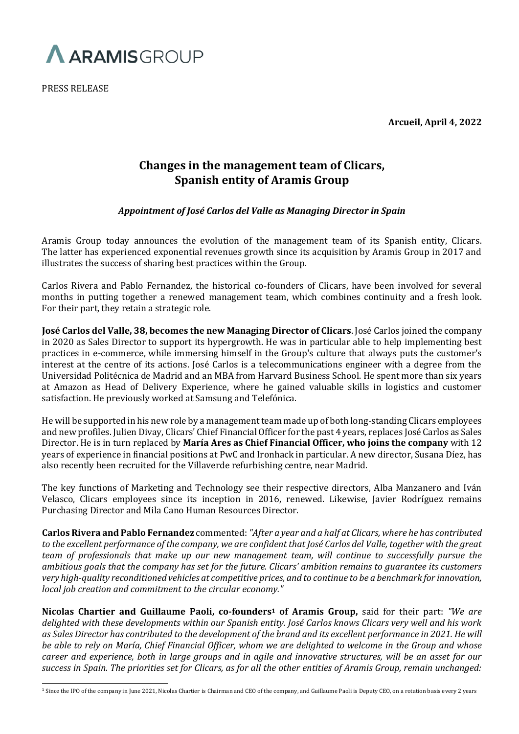

PRESS RELEASE

**Arcueil, April 4, 2022**

# **Changes in the management team of Clicars, Spanish entity of Aramis Group**

## *Appointment of José Carlos del Valle as Managing Director in Spain*

Aramis Group today announces the evolution of the management team of its Spanish entity, Clicars. The latter has experienced exponential revenues growth since its acquisition by Aramis Group in 2017 and illustrates the success of sharing best practices within the Group.

Carlos Rivera and Pablo Fernandez, the historical co-founders of Clicars, have been involved for several months in putting together a renewed management team, which combines continuity and a fresh look. For their part, they retain a strategic role.

**José Carlos del Valle, 38, becomes the new Managing Director of Clicars**. José Carlos joined the company in 2020 as Sales Director to support its hypergrowth. He was in particular able to help implementing best practices in e-commerce, while immersing himself in the Group's culture that always puts the customer's interest at the centre of its actions. José Carlos is a telecommunications engineer with a degree from the Universidad Politécnica de Madrid and an MBA from Harvard Business School. He spent more than six years at Amazon as Head of Delivery Experience, where he gained valuable skills in logistics and customer satisfaction. He previously worked at Samsung and Telefónica.

He will be supported in his new role by a management team made up of both long-standing Clicars employees and new profiles. Julien Divay, Clicars' Chief Financial Officer for the past 4 years, replaces José Carlos as Sales Director. He is in turn replaced by **María Ares as Chief Financial Officer, who joins the company** with 12 years of experience in financial positions at PwC and Ironhack in particular. A new director, Susana Díez, has also recently been recruited for the Villaverde refurbishing centre, near Madrid.

The key functions of Marketing and Technology see their respective directors, Alba Manzanero and Iván Velasco, Clicars employees since its inception in 2016, renewed. Likewise, Javier Rodríguez remains Purchasing Director and Mila Cano Human Resources Director.

**Carlos Rivera and Pablo Fernandez** commented: *"After a year and a half at Clicars, where he has contributed to the excellent performance of the company, we are confident that José Carlos del Valle, together with the great team of professionals that make up our new management team, will continue to successfully pursue the ambitious goals that the company has set for the future. Clicars' ambition remains to guarantee its customers very high-quality reconditioned vehicles at competitive prices, and to continue to be a benchmark for innovation, local job creation and commitment to the circular economy."*

**Nicolas Chartier and Guillaume Paoli, co-founders<sup>1</sup> of Aramis Group,** said for their part: *"We are delighted with these developments within our Spanish entity. José Carlos knows Clicars very well and his work as Sales Director has contributed to the development of the brand and its excellent performance in 2021. He will be able to rely on María, Chief Financial Officer, whom we are delighted to welcome in the Group and whose career and experience, both in large groups and in agile and innovative structures, will be an asset for our success in Spain. The priorities set for Clicars, as for all the other entities of Aramis Group, remain unchanged:* 

<sup>&</sup>lt;sup>1</sup> Since the IPO of the company in June 2021, Nicolas Chartier is Chairman and CEO of the company, and Guillaume Paoli is Deputy CEO, on a rotation basis every 2 years